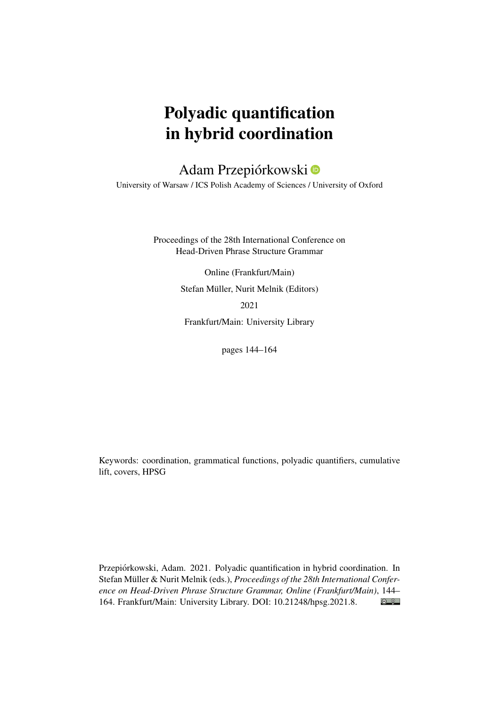# Polyadic quantification in hybrid coordination

# Adam Przepiórkowski

University of Warsaw / ICS Polish Academy of Sciences / University of Oxford

Proceedings of the 28th International Conference on Head-Driven Phrase Structure Grammar

> Online (Frankfurt/Main) Stefan Müller, Nurit Melnik (Editors) 2021

Frankfurt/Main: University Library

pages 144–164

Keywords: coordination, grammatical functions, polyadic quantifiers, cumulative lift, covers, HPSG

Przepiórkowski, Adam. 2021. Polyadic quantification in hybrid coordination. In Stefan Müller & Nurit Melnik (eds.), *Proceedings of the 28th International Conference on Head-Driven Phrase Structure Grammar, Online (Frankfurt/Main)*, 144–  $\bigcirc$   $\bigcirc$ 164. Frankfurt/Main: University Library. DOI: [10.21248/hpsg.2021.8.](http://doi.org/10.21248/hpsg.2021.8)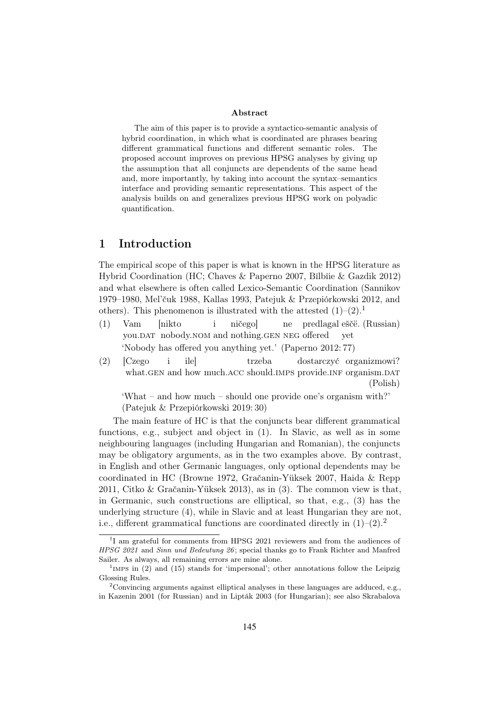#### Abstract

The aim of this paper is to provide a syntactico-semantic analysis of hybrid coordination, in which what is coordinated are phrases bearing different grammatical functions and different semantic roles. The proposed account improves on previous HPSG analyses by giving up the assumption that all conjuncts are dependents of the same head and, more importantly, by taking into account the syntax–semantics interface and providing semantic representations. This aspect of the analysis builds on and generalizes previous HPSG work on polyadic quantification.

### 1 Introduction

The empirical scope of this paper is what is known in the HPSG literature as Hybrid Coordination (HC; Chaves & Paperno 2007, Bîlbîie & Gazdik 2012) and what elsewhere is often called Lexico-Semantic Coordination (Sannikov 1979–1980, Mel'čuk 1988, Kallas 1993, Patejuk & Przepiórkowski 2012, and others). This phenomenon is illustrated with the attested  $(1)-(2)$ .

- (1) Vam you.DAT nobody.NOM and nothing.GEN NEG offered [nikto i ničego] ne predlagal eščë. (Russian) yet 'Nobody has offered you anything yet.' (Paperno 2012: 77)
- (2) [Czego what.GEN and how much.ACC should.IMPS provide.INF organism.DAT i ile] trzeba dostarczyć organizmowi? (Polish)

'What – and how much – should one provide one's organism with?' (Patejuk & Przepiórkowski 2019: 30)

The main feature of HC is that the conjuncts bear different grammatical functions, e.g., subject and object in (1). In Slavic, as well as in some neighbouring languages (including Hungarian and Romanian), the conjuncts may be obligatory arguments, as in the two examples above. By contrast, in English and other Germanic languages, only optional dependents may be coordinated in HC (Browne 1972, Gračanin-Yüksek 2007, Haida & Repp 2011, Citko & Gračanin-Yüksek 2013), as in (3). The common view is that, in Germanic, such constructions are elliptical, so that, e.g., (3) has the underlying structure (4), while in Slavic and at least Hungarian they are not, i.e., different grammatical functions are coordinated directly in  $(1)$ – $(2)$ .<sup>2</sup>

<sup>†</sup> I am grateful for comments from HPSG 2021 reviewers and from the audiences of HPSG 2021 and Sinn und Bedeutung 26; special thanks go to Frank Richter and Manfred Sailer. As always, all remaining errors are mine alone.

<sup>&</sup>lt;sup>1</sup>IMPS in (2) and (15) stands for 'impersonal'; other annotations follow the Leipzig Glossing Rules.

<sup>&</sup>lt;sup>2</sup>Convincing arguments against elliptical analyses in these languages are adduced, e.g., in Kazenin 2001 (for Russian) and in Lipták 2003 (for Hungarian); see also Skrabalova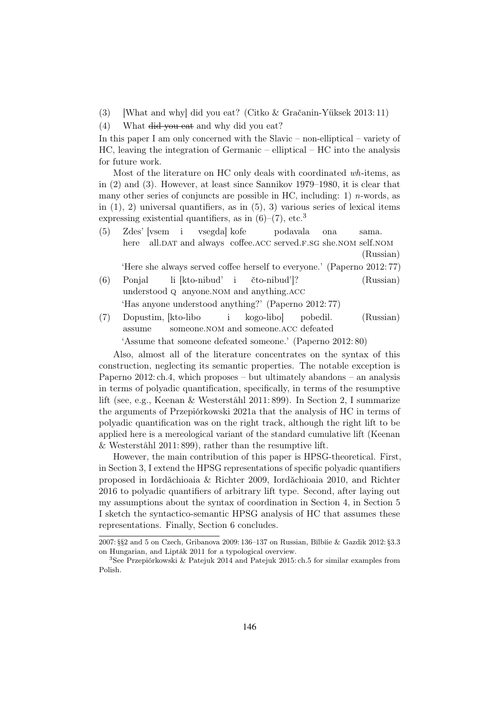(3) What and why did you eat? (Citko & Gračanin-Yüksek 2013: 11)

(4) What did you eat and why did you eat?

In this paper I am only concerned with the Slavic – non-elliptical – variety of HC, leaving the integration of Germanic – elliptical – HC into the analysis for future work.

Most of the literature on HC only deals with coordinated wh-items, as in (2) and (3). However, at least since Sannikov 1979–1980, it is clear that many other series of conjuncts are possible in HC, including: 1) *n*-words, as in  $(1)$ , 2) universal quantifiers, as in  $(5)$ , 3) various series of lexical items expressing existential quantifiers, as in  $(6)-(7)$ , etc.<sup>3</sup>

(5) Zdes' [vsem here all.DAT and always coffee.ACC served.F.SG she.NOM self.NOM i vsegda] kofe podavala ona sama. (Russian)

'Here she always served coffee herself to everyone.' (Paperno 2012: 77)

- (6) Ponjal understood q anyone.nom and anything.acc li [kto-nibud' i čto-nibud']? (Russian) 'Has anyone understood anything?' (Paperno 2012: 77)
- (7) Dopustim, [kto-libo assume someone.NOM and someone.ACC defeated i kogo-libo] pobedil. (Russian) 'Assume that someone defeated someone.' (Paperno 2012: 80)

Also, almost all of the literature concentrates on the syntax of this construction, neglecting its semantic properties. The notable exception is Paperno  $2012$ : ch.4, which proposes – but ultimately abandons – an analysis in terms of polyadic quantification, specifically, in terms of the resumptive lift (see, e.g., Keenan & Westerståhl 2011: 899). In Section 2, I summarize the arguments of Przepiórkowski 2021a that the analysis of HC in terms of polyadic quantification was on the right track, although the right lift to be applied here is a mereological variant of the standard cumulative lift (Keenan & Westerståhl 2011: 899), rather than the resumptive lift.

However, the main contribution of this paper is HPSG-theoretical. First, in Section 3, I extend the HPSG representations of specific polyadic quantifiers proposed in Iordăchioaia & Richter 2009, Iordăchioaia 2010, and Richter 2016 to polyadic quantifiers of arbitrary lift type. Second, after laying out my assumptions about the syntax of coordination in Section 4, in Section 5 I sketch the syntactico-semantic HPSG analysis of HC that assumes these representations. Finally, Section 6 concludes.

<sup>2007: §§2</sup> and 5 on Czech, Gribanova 2009: 136–137 on Russian, Bîlbîie & Gazdik 2012: §3.3 on Hungarian, and Lipták 2011 for a typological overview.

<sup>3</sup>See Przepiórkowski & Patejuk 2014 and Patejuk 2015: ch.5 for similar examples from Polish.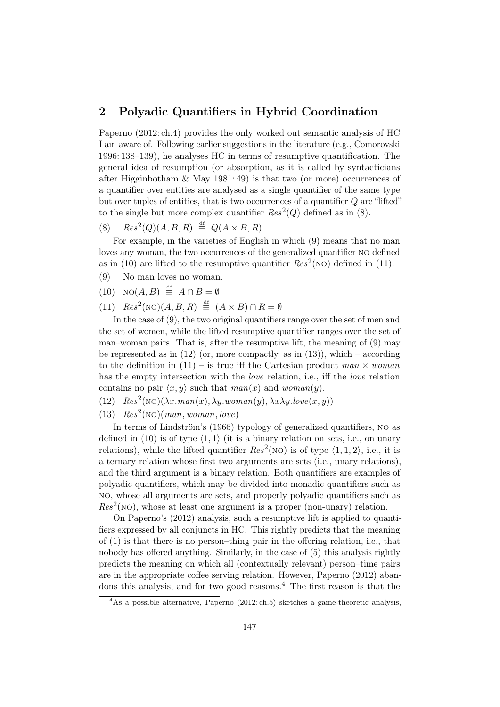#### 2 Polyadic Quantifiers in Hybrid Coordination

Paperno (2012: ch.4) provides the only worked out semantic analysis of HC I am aware of. Following earlier suggestions in the literature (e.g., Comorovski 1996: 138–139), he analyses HC in terms of resumptive quantification. The general idea of resumption (or absorption, as it is called by syntacticians after Higginbotham & May 1981: 49) is that two (or more) occurrences of a quantifier over entities are analysed as a single quantifier of the same type but over tuples of entities, that is two occurrences of a quantifier Q are "lifted" to the single but more complex quantifier  $Res<sup>2</sup>(Q)$  defined as in (8).

(8)  $Res^2(Q)(A, B, R) \stackrel{\text{df}}{=} Q(A \times B, R)$ 

For example, in the varieties of English in which (9) means that no man loves any woman, the two occurrences of the generalized quantifier no defined as in (10) are lifted to the resumptive quantifier  $Res^2(NO)$  defined in (11).

- (9) No man loves no woman.
- $(10) \quad \text{NO}(A, B) \stackrel{\text{df}}{=} A \cap B = \emptyset$
- (11)  $Res^2(NO)(A, B, R) \stackrel{\text{df}}{=} (A \times B) \cap R = \emptyset$

In the case of (9), the two original quantifiers range over the set of men and the set of women, while the lifted resumptive quantifier ranges over the set of man–woman pairs. That is, after the resumptive lift, the meaning of (9) may be represented as in  $(12)$  (or, more compactly, as in  $(13)$ ), which – according to the definition in  $(11)$  – is true iff the Cartesian product man  $\times$  woman has the empty intersection with the *love* relation, i.e., iff the *love* relation contains no pair  $\langle x, y \rangle$  such that  $man(x)$  and woman(y).

- (12)  $Res^{2}(NO)(\lambda x.man(x), \lambda y.woman(y), \lambda x \lambda y. love(x, y))$
- (13)  $Res<sup>2</sup>(NO)(man, woman, love)$

In terms of Lindström's (1966) typology of generalized quantifiers, no as defined in (10) is of type  $\langle 1, 1 \rangle$  (it is a binary relation on sets, i.e., on unary relations), while the lifted quantifier  $Res^2(NO)$  is of type  $\langle 1, 1, 2 \rangle$ , i.e., it is a ternary relation whose first two arguments are sets (i.e., unary relations), and the third argument is a binary relation. Both quantifiers are examples of polyadic quantifiers, which may be divided into monadic quantifiers such as no, whose all arguments are sets, and properly polyadic quantifiers such as  $Res<sup>2</sup>(NO)$ , whose at least one argument is a proper (non-unary) relation.

On Paperno's (2012) analysis, such a resumptive lift is applied to quantifiers expressed by all conjuncts in HC. This rightly predicts that the meaning of (1) is that there is no person–thing pair in the offering relation, i.e., that nobody has offered anything. Similarly, in the case of (5) this analysis rightly predicts the meaning on which all (contextually relevant) person–time pairs are in the appropriate coffee serving relation. However, Paperno (2012) abandons this analysis, and for two good reasons.<sup>4</sup> The first reason is that the

 $\overline{^{4}$ As a possible alternative, Paperno (2012: ch.5) sketches a game-theoretic analysis,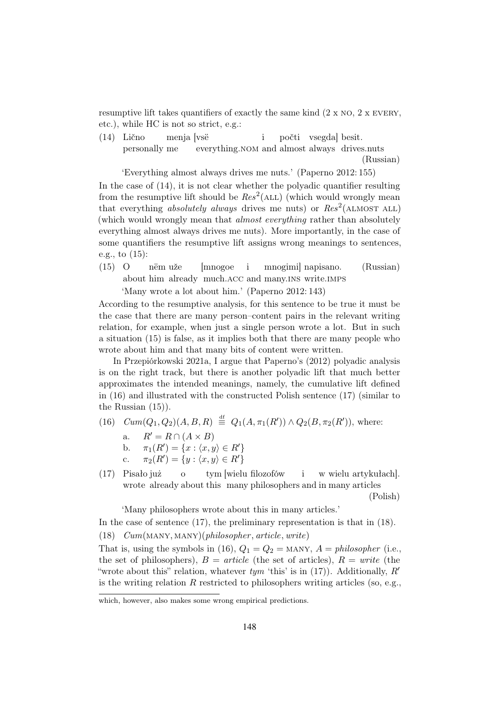resumptive lift takes quantifiers of exactly the same kind  $(2 \times NO, 2 \times EVERY,$ etc.), while HC is not so strict, e.g.:

(14) Lično personally me menja [vsë everything.NOM and almost always drives.nuts i počti vsegda] besit. (Russian)

'Everything almost always drives me nuts.' (Paperno 2012: 155)

In the case of (14), it is not clear whether the polyadic quantifier resulting from the resumptive lift should be  $Res<sup>2</sup>(ALL)$  (which would wrongly mean that everything absolutely always drives me nuts) or  $\text{Res}^2$  (ALMOST ALL) (which would wrongly mean that almost everything rather than absolutely everything almost always drives me nuts). More importantly, in the case of some quantifiers the resumptive lift assigns wrong meanings to sentences, e.g., to (15):

(15) O about him already much.acc and many.ins write.imps nëm uže [mnogoe i mnogimi] napisano. (Russian) 'Many wrote a lot about him.' (Paperno 2012: 143)

According to the resumptive analysis, for this sentence to be true it must be the case that there are many person–content pairs in the relevant writing relation, for example, when just a single person wrote a lot. But in such a situation (15) is false, as it implies both that there are many people who wrote about him and that many bits of content were written.

In Przepiórkowski 2021a, I argue that Paperno's (2012) polyadic analysis is on the right track, but there is another polyadic lift that much better approximates the intended meanings, namely, the cumulative lift defined in (16) and illustrated with the constructed Polish sentence (17) (similar to the Russian (15)).

- $(16)$   $Cum(Q_1, Q_2)(A, B, R) \stackrel{\text{df}}{=} Q_1(A, \pi_1(R')) \wedge Q_2(B, \pi_2(R')),$  where:
	- a.  $R' = R \cap (A \times B)$ <br>b.  $\pi_1(R') = \{x : (x, y)$
	- b.  $\pi_1(R') = \{x : \langle x, y \rangle \in R'\}$
	- c.  $\pi_2(R') = \{y : \langle x, y \rangle \in R'\}$
- (17) Pisało już wrote already about this many philosophers and in many articles o tym [wielu filozofów i w wielu artykułach]. (Polish)

'Many philosophers wrote about this in many articles.'

In the case of sentence (17), the preliminary representation is that in (18).

(18)  $Cum(MANY, MANY)$ (philosopher, article, write)

That is, using the symbols in (16),  $Q_1 = Q_2 =$  MANY,  $A =$  philosopher (i.e., the set of philosophers),  $B = article$  (the set of articles),  $R = write$  (the "wrote about this" relation, whatever  $tym$  'this' is in (17)). Additionally,  $R'$ is the writing relation  $R$  restricted to philosophers writing articles (so, e.g.,

which, however, also makes some wrong empirical predictions.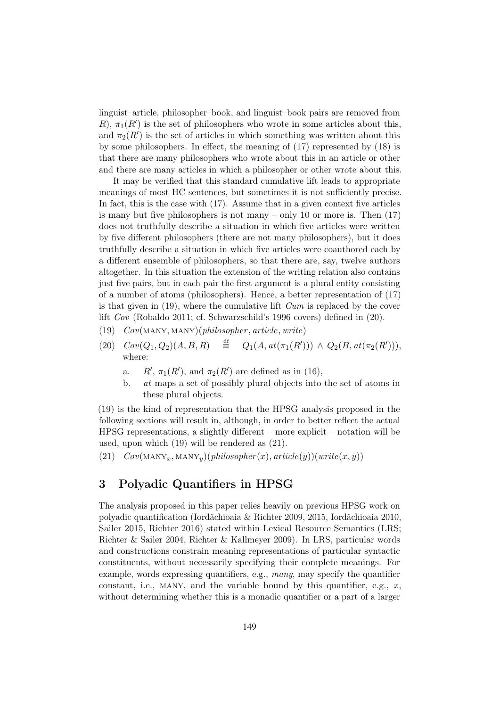linguist–article, philosopher–book, and linguist–book pairs are removed from  $R$ ,  $\pi_1(R')$  is the set of philosophers who wrote in some articles about this, and  $\pi_2(R')$  is the set of articles in which something was written about this by some philosophers. In effect, the meaning of (17) represented by (18) is that there are many philosophers who wrote about this in an article or other and there are many articles in which a philosopher or other wrote about this.

It may be verified that this standard cumulative lift leads to appropriate meanings of most HC sentences, but sometimes it is not sufficiently precise. In fact, this is the case with (17). Assume that in a given context five articles is many but five philosophers is not many – only 10 or more is. Then  $(17)$ does not truthfully describe a situation in which five articles were written by five different philosophers (there are not many philosophers), but it does truthfully describe a situation in which five articles were coauthored each by a different ensemble of philosophers, so that there are, say, twelve authors altogether. In this situation the extension of the writing relation also contains just five pairs, but in each pair the first argument is a plural entity consisting of a number of atoms (philosophers). Hence, a better representation of (17) is that given in  $(19)$ , where the cumulative lift  $Cum$  is replaced by the cover lift Cov (Robaldo 2011; cf. Schwarzschild's 1996 covers) defined in (20).

- (19)  $Cov(MANY, MANY)$ (*philosopher*, article, write)
- (20)  $Cov(Q_1, Q_2)(A, B, R) \equiv Q_1(A, at(\pi_1(R'))) \wedge Q_2(B, at(\pi_2(R'))),$ where:
	- a.  $R', \pi_1(R')$ , and  $\pi_2(R')$  are defined as in (16),
	- b. at maps a set of possibly plural objects into the set of atoms in these plural objects.

(19) is the kind of representation that the HPSG analysis proposed in the following sections will result in, although, in order to better reflect the actual HPSG representations, a slightly different – more explicit – notation will be used, upon which (19) will be rendered as (21).

(21)  $Cov(MANY_x, MANY_y)(philosopher(x), article(y))(write(x, y))$ 

## 3 Polyadic Quantifiers in HPSG

The analysis proposed in this paper relies heavily on previous HPSG work on polyadic quantification (Iordăchioaia & Richter 2009, 2015, Iordăchioaia 2010, Sailer 2015, Richter 2016) stated within Lexical Resource Semantics (LRS; Richter & Sailer 2004, Richter & Kallmeyer 2009). In LRS, particular words and constructions constrain meaning representations of particular syntactic constituents, without necessarily specifying their complete meanings. For example, words expressing quantifiers, e.g., many, may specify the quantifier constant, i.e., MANY, and the variable bound by this quantifier, e.g.,  $x$ , without determining whether this is a monadic quantifier or a part of a larger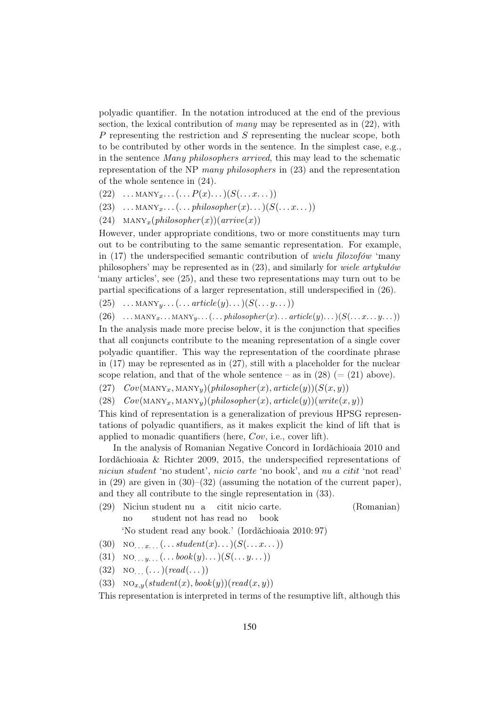polyadic quantifier. In the notation introduced at the end of the previous section, the lexical contribution of many may be represented as in  $(22)$ , with P representing the restriction and S representing the nuclear scope, both to be contributed by other words in the sentence. In the simplest case, e.g. in the sentence Many philosophers arrived, this may lead to the schematic representation of the NP many philosophers in (23) and the representation of the whole sentence in (24).

- $(22) \dots \text{MANY}_{x} \dots (\dots P(x) \dots)(S(\dots x \dots))$
- $(23) \dots \text{MANY}_x \dots (\dots \text{philosopher}(x) \dots)(S(\dots x \dots))$
- (24)  $\text{MANY}_x(\text{philosopher}(x))(\text{arrive}(x))$

However, under appropriate conditions, two or more constituents may turn out to be contributing to the same semantic representation. For example, in (17) the underspecified semantic contribution of wielu filozofów 'many philosophers' may be represented as in (23), and similarly for wiele artykułów 'many articles', see (25), and these two representations may turn out to be partial specifications of a larger representation, still underspecified in (26).

 $(25) \dots \text{MANY}_y \dots (\dots \text{article}(y) \dots)(S(\dots y \dots))$ 

 $(26)$  ...  $\text{MANY}_x$ ...  $\text{MANY}_y$ ...  $(...$  philosopher $(x)$ ...  $article(y)$ ...  $)(S(...x...y...)$ 

In the analysis made more precise below, it is the conjunction that specifies that all conjuncts contribute to the meaning representation of a single cover polyadic quantifier. This way the representation of the coordinate phrase in (17) may be represented as in (27), still with a placeholder for the nuclear scope relation, and that of the whole sentence – as in  $(28)$  (=  $(21)$  above).

(27)  $Cov(MANY_x, MANY_y)(philosopher(x), article(y))(S(x, y))$ 

(28)  $Cov(MANY_x, MANY_y)(philosopher(x), article(y))(write(x, y))$ 

This kind of representation is a generalization of previous HPSG representations of polyadic quantifiers, as it makes explicit the kind of lift that is applied to monadic quantifiers (here, Cov, i.e., cover lift).

In the analysis of Romanian Negative Concord in Iordăchioaia 2010 and Iordăchioaia  $\&$  Richter 2009, 2015, the underspecified representations of niciun student 'no student', nicio carte 'no book', and nu a citit 'not read' in (29) are given in  $(30)$ – $(32)$  (assuming the notation of the current paper), and they all contribute to the single representation in (33).

(29) Niciun student nu a citit nicio carte. no student not has read no book (Romanian)

'No student read any book.' (Iordǎchioaia 2010: 97)

- (30) NO...  $x_{...}$  (... student(x)...)( $S(...x...)$ )
- (31) NO.  $u_{1}$ ,  $(... \text{book}(y) ...)$  $(S(... y...))$
- $(32) \quad \text{NO} \dots (n \cdot \text{)} (read (n \cdot \text{)}$
- (33)  $NO_{x,y}(student(x),book(y))(read(x, y))$

This representation is interpreted in terms of the resumptive lift, although this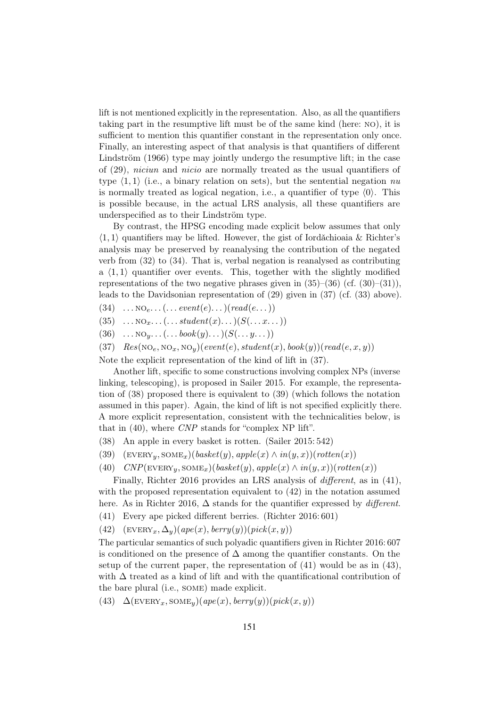lift is not mentioned explicitly in the representation. Also, as all the quantifiers taking part in the resumptive lift must be of the same kind (here: no), it is sufficient to mention this quantifier constant in the representation only once. Finally, an interesting aspect of that analysis is that quantifiers of different Lindström (1966) type may jointly undergo the resumptive lift; in the case of (29), niciun and nicio are normally treated as the usual quantifiers of type  $\langle 1, 1 \rangle$  (i.e., a binary relation on sets), but the sentential negation nu is normally treated as logical negation, i.e., a quantifier of type  $\langle 0 \rangle$ . This is possible because, in the actual LRS analysis, all these quantifiers are underspecified as to their Lindström type.

By contrast, the HPSG encoding made explicit below assumes that only  $\langle 1, 1 \rangle$  quantifiers may be lifted. However, the gist of Iordăchioaia & Richter's analysis may be preserved by reanalysing the contribution of the negated verb from (32) to (34). That is, verbal negation is reanalysed as contributing a  $\langle 1, 1 \rangle$  quantifier over events. This, together with the slightly modified representations of the two negative phrases given in  $(35)$ – $(36)$  (cf.  $(30)$ – $(31)$ ). leads to the Davidsonian representation of (29) given in (37) (cf. (33) above).

 $(34) \dots NO_e \dots (n \cdot event(e) \dots)(read(e \dots))$ 

 $(35) \dots NO_x \dots (\dots student(x) \dots)(S(\dots x \dots))$ 

 $(36) \quad \dots \text{NO}_y \dots (\dots \text{book}(y) \dots)(S(\dots y \dots))$ 

(37) 
$$
Res(\text{NO}_e, \text{NO}_x, \text{NO}_y)(event(e), student(x), book(y))(read(e, x, y))
$$

Note the explicit representation of the kind of lift in (37).

Another lift, specific to some constructions involving complex NPs (inverse linking, telescoping), is proposed in Sailer 2015. For example, the representation of (38) proposed there is equivalent to (39) (which follows the notation assumed in this paper). Again, the kind of lift is not specified explicitly there. A more explicit representation, consistent with the technicalities below, is that in (40), where CNP stands for "complex NP lift".

- (38) An apple in every basket is rotten. (Sailer 2015: 542)
- (39)  $(\text{EVERY}_y, \text{SOME}_x)(\text{base}t(y), \text{apple}(x) \land \text{in}(y, x))(\text{rotten}(x))$
- (40)  $CNP(\text{EVERY}_y, \text{SOME}_x)(\text{base}t(y), \text{apple}(x) \land \text{in}(y, x))(\text{rotten}(x))$

Finally, Richter 2016 provides an LRS analysis of different, as in (41), with the proposed representation equivalent to (42) in the notation assumed here. As in Richter 2016,  $\Delta$  stands for the quantifier expressed by *different*.

(41) Every ape picked different berries. (Richter 2016: 601)

(42)  $(\text{EVERY}_x, \Delta_y)(ape(x), berry(y))(pick(x, y))$ 

The particular semantics of such polyadic quantifiers given in Richter 2016: 607 is conditioned on the presence of  $\Delta$  among the quantifier constants. On the setup of the current paper, the representation of (41) would be as in (43), with  $\Delta$  treated as a kind of lift and with the quantificational contribution of the bare plural (i.e., some) made explicit.

(43)  $\Delta$ (EVERY<sub>x</sub>, SOME<sub>y</sub>)(ape(x), berry(y))(pick(x, y))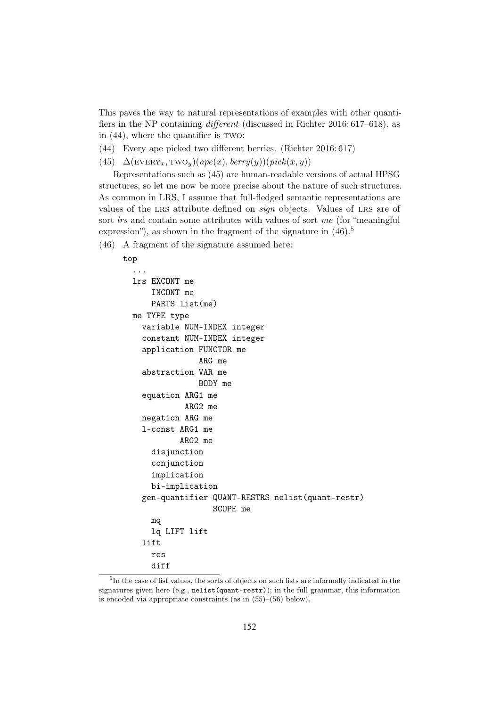This paves the way to natural representations of examples with other quantifiers in the NP containing different (discussed in Richter 2016: 617–618), as in  $(44)$ , where the quantifier is two:

- (44) Every ape picked two different berries. (Richter 2016: 617)
- (45)  $\Delta$ (EVERY<sub>x</sub>, TWO<sub>y</sub>)(ape(x), berry(y))(pick(x, y))

Representations such as (45) are human-readable versions of actual HPSG structures, so let me now be more precise about the nature of such structures. As common in LRS, I assume that full-fledged semantic representations are values of the LRS attribute defined on *sign* objects. Values of LRS are of sort *lrs* and contain some attributes with values of sort me (for "meaningful expression"), as shown in the fragment of the signature in  $(46)$ <sup>5</sup>

(46) A fragment of the signature assumed here:

```
top
  ...
 lrs EXCONT me
      INCONT me
      PARTS list(me)
 me TYPE type
    variable NUM-INDEX integer
    constant NUM-INDEX integer
    application FUNCTOR me
                ARG me
    abstraction VAR me
                BODY me
    equation ARG1 me
             ARG2 me
    negation ARG me
    l-const ARG1 me
            ARG2 me
      disjunction
      conjunction
      implication
      bi-implication
    gen-quantifier QUANT-RESTRS nelist(quant-restr)
                   SCOPE me
      mq
      lq LIFT lift
    lift
      res
      diff
```
<sup>5</sup> In the case of list values, the sorts of objects on such lists are informally indicated in the signatures given here (e.g., nelist(quant-restr)); in the full grammar, this information is encoded via appropriate constraints (as in (55)–(56) below).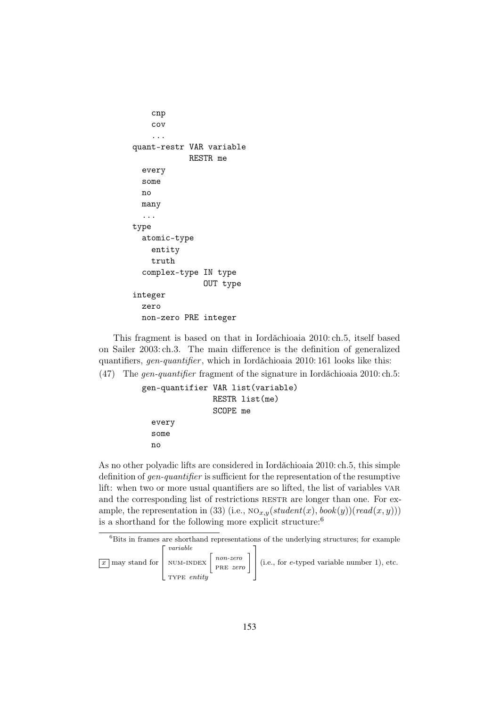```
cnp
    cov
    ...
quant-restr VAR variable
             RESTR me
  every
  some
  no
  many
  ...
type
  atomic-type
    entity
    truth
  complex-type IN type
                OUT type
integer
  zero
  non-zero PRE integer
```
This fragment is based on that in Iordǎchioaia 2010: ch.5, itself based on Sailer 2003: ch.3. The main difference is the definition of generalized quantifiers, gen-quantifier, which in Iordăchioaia 2010: 161 looks like this:

(47) The gen-quantifier fragment of the signature in Iordăchioaia 2010: ch.5:

```
gen-quantifier VAR list(variable)
               RESTR list(me)
               SCOPE me
  every
  some
 no
```
As no other polyadic lifts are considered in Iordăchioaia 2010: ch.5, this simple definition of gen-quantifier is sufficient for the representation of the resumptive lift: when two or more usual quantifiers are so lifted, the list of variables VAR and the corresponding list of restrictions RESTR are longer than one. For example, the representation in (33) (i.e.,  $NO_{x,y}(student(x),book(y))(read(x, y)))$ is a shorthand for the following more explicit structure:<sup>6</sup>

```
{}^{6}Bits in frames are shorthand representations of the underlying structures; for example
x \mid may stand for
                         \sqrt{ }\overline{\phantom{a}}variable<br>NUM-INDEX \begin{bmatrix} non-zero \\ PRE zero \end{bmatrix}1

(i.e., for e-typed variable number 1), etc.
```

```
TYPE entity
```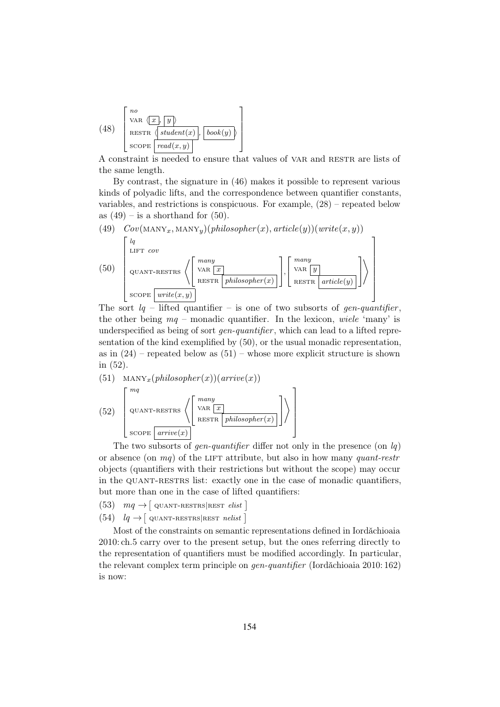(48) 
$$
\begin{bmatrix} no \\ \n\text{VAR } \langle x, y \rangle \\ \n\text{RESTR } \langle \text{student}(x), \text{book}(y) \rangle \\ \n\text{SCOPE } \boxed{\text{read}(x, y)} \n\end{bmatrix}
$$

A constraint is needed to ensure that values of VAR and RESTR are lists of the same length.

By contrast, the signature in (46) makes it possible to represent various kinds of polyadic lifts, and the correspondence between quantifier constants, variables, and restrictions is conspicuous. For example, (28) – repeated below as  $(49)$  – is a shorthand for  $(50)$ .

(49) 
$$
Cov(\text{MANY}_x, \text{MANY}_y)(philosopher(x), article(y))(write(x, y))
$$
  
\n(50) 
$$
\begin{bmatrix} lq \\ \text{LIFT} & cov \\ \text{QUANT-RESTRS} \end{bmatrix} \begin{bmatrix} many \\ \text{VAR} & \text{rank} \\ \text{RESTR} & \text{philosopher}(x) \end{bmatrix}, \begin{bmatrix} many \\ \text{VAR} & \text{rank} \\ \text{RESTR} & \text{article}(y) \end{bmatrix}
$$

The sort  $lq$  – lifted quantifier – is one of two subsorts of gen-quantifier, the other being  $mq$  – monadic quantifier. In the lexicon, wiele 'many' is underspecified as being of sort *gen-quantifier*, which can lead to a lifted representation of the kind exemplified by (50), or the usual monadic representation, as in  $(24)$  – repeated below as  $(51)$  – whose more explicit structure is shown in (52).

 $\setminus$ 

1

(51)  $\text{MANY}_x(\text{philosopher}(x))(\text{arrive}(x))$ (52)  $\sqrt{ }$   $mq$  $_{\rm QUANT-RESTRS}$ many var  $\boxed{x}$ RESTR  $\mid$  philosopher(x) Ī.  $\overline{1}$ 

The two subsorts of *gen-quantifier* differ not only in the presence (on  $lq$ ) or absence (on  $mq$ ) of the LIFT attribute, but also in how many quant-restr objects (quantifiers with their restrictions but without the scope) may occur in the QUANT-RESTRS list: exactly one in the case of monadic quantifiers, but more than one in the case of lifted quantifiers:

(53)  $mq \rightarrow$  [ QUANT-RESTRS REST *elist* ]

 $score$  arrive $(x)$ 

(54)  $lq \rightarrow$  [ QUANT-RESTRS REST nelist ]

Most of the constraints on semantic representations defined in Iordăchioaia 2010: ch.5 carry over to the present setup, but the ones referring directly to the representation of quantifiers must be modified accordingly. In particular, the relevant complex term principle on *gen-quantifier* (Iordǎchioaia 2010: 162) is now: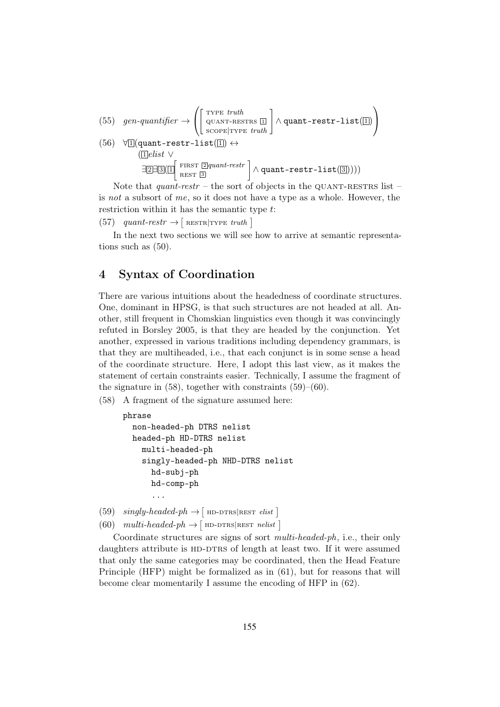(55) 
$$
gen\text{-}quantifier \rightarrow \left( \begin{bmatrix} \text{ryPE } truth \\ \text{QUANT-RESTRS } \Box \\ \text{SCOPE} | \text{ryPE } truth \end{bmatrix} \land \text{quant-restr-list}(\Box) \right)
$$
  
\n(56)  $\forall \Box (\text{quant-restr-list}(\Box) \leftrightarrow$   
\n( $\Box elist \lor$   
\n $\exists \Box \exists \Diamond (\Box \text{ FIRST } \overline{\Box} quant\text{-}restr \text{ )} \land \text{quant-restr-list}(\Box))))$ 

Note that *quant-restr* – the sort of objects in the QUANT-RESTRS list – is not a subsort of me, so it does not have a type as a whole. However, the restriction within it has the semantic type t:

(57) quant-restr  $\rightarrow$  [RESTR TYPE truth]

In the next two sections we will see how to arrive at semantic representations such as (50).

### 4 Syntax of Coordination

There are various intuitions about the headedness of coordinate structures. One, dominant in HPSG, is that such structures are not headed at all. Another, still frequent in Chomskian linguistics even though it was convincingly refuted in Borsley 2005, is that they are headed by the conjunction. Yet another, expressed in various traditions including dependency grammars, is that they are multiheaded, i.e., that each conjunct is in some sense a head of the coordinate structure. Here, I adopt this last view, as it makes the statement of certain constraints easier. Technically, I assume the fragment of the signature in  $(58)$ , together with constraints  $(59)$ – $(60)$ .

(58) A fragment of the signature assumed here:

```
phrase
  non-headed-ph DTRS nelist
  headed-ph HD-DTRS nelist
    multi-headed-ph
    singly-headed-ph NHD-DTRS nelist
      hd-subj-ph
      hd-comp-ph
      ...
```

```
(59) \hspace{0.1 cm} singly\text{-}headed\text{-}ph \rightarrow [\text{\texttt{HD-DTRS}}|\text{\texttt{REST}}\hspace{0.1 cm}elist](60) multi-headed\n-ph \rightarrow [ HD-DTRS|REST nelist ]
```
Coordinate structures are signs of sort multi-headed-ph, i.e., their only daughters attribute is HD-DTRS of length at least two. If it were assumed that only the same categories may be coordinated, then the Head Feature Principle (HFP) might be formalized as in (61), but for reasons that will become clear momentarily I assume the encoding of HFP in (62).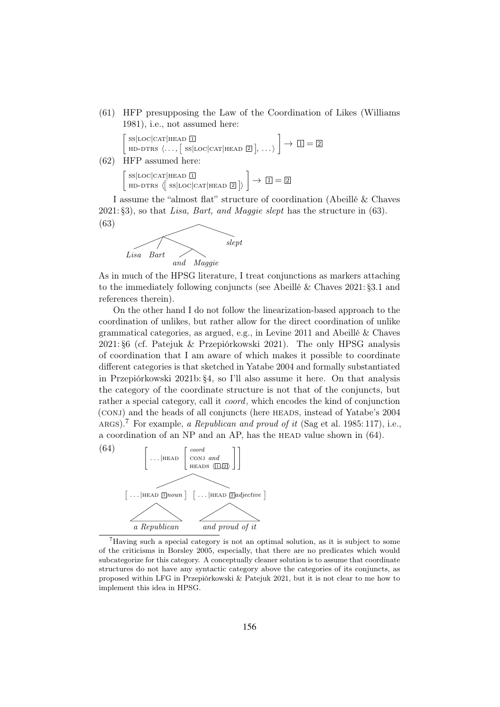(61) HFP presupposing the Law of the Coordination of Likes (Williams 1981), i.e., not assumed here:

 $\int$  ss|LOC|CAT|HEAD  $\overline{1}$  $HD-DTRS \langle \dots, [\text{ ss}|\text{loc}|\text{CAT}|\text{head }2], \dots \rangle$  $\Big] \rightarrow \Box = \boxed{2}$ 

(62) HFP assumed here:

 $\int$ SS|LOC|CAT|HEAD 1  $HD-DTRS \langle \left[ \text{ ss}|\text{loc}|\text{CAT}|\text{HEAD} \space 2 \right] \rangle$  $\Big] \rightarrow \Box = \boxed{2}$ 

I assume the "almost flat" structure of coordination (Abeillé & Chaves  $2021: \S3$ , so that Lisa, Bart, and Maggie slept has the structure in (63).



As in much of the HPSG literature, I treat conjunctions as markers attaching to the immediately following conjuncts (see Abeillé & Chaves 2021: §3.1 and references therein).

On the other hand I do not follow the linearization-based approach to the coordination of unlikes, but rather allow for the direct coordination of unlike grammatical categories, as argued, e.g., in Levine 2011 and Abeillé & Chaves 2021: §6 (cf. Patejuk & Przepiórkowski 2021). The only HPSG analysis of coordination that I am aware of which makes it possible to coordinate different categories is that sketched in Yatabe 2004 and formally substantiated in Przepiórkowski 2021b: §4, so I'll also assume it here. On that analysis the category of the coordinate structure is not that of the conjuncts, but rather a special category, call it coord, which encodes the kind of conjunction (CONJ) and the heads of all conjuncts (here HEADS, instead of Yatabe's 2004 ARGS).<sup>7</sup> For example, a Republican and proud of it (Sag et al. 1985:117), i.e., a coordination of an NP and an AP, has the HEAD value shown in  $(64)$ .



<sup>7</sup>Having such a special category is not an optimal solution, as it is subject to some of the criticisms in Borsley 2005, especially, that there are no predicates which would subcategorize for this category. A conceptually cleaner solution is to assume that coordinate structures do not have any syntactic category above the categories of its conjuncts, as proposed within LFG in Przepiórkowski & Patejuk 2021, but it is not clear to me how to implement this idea in HPSG.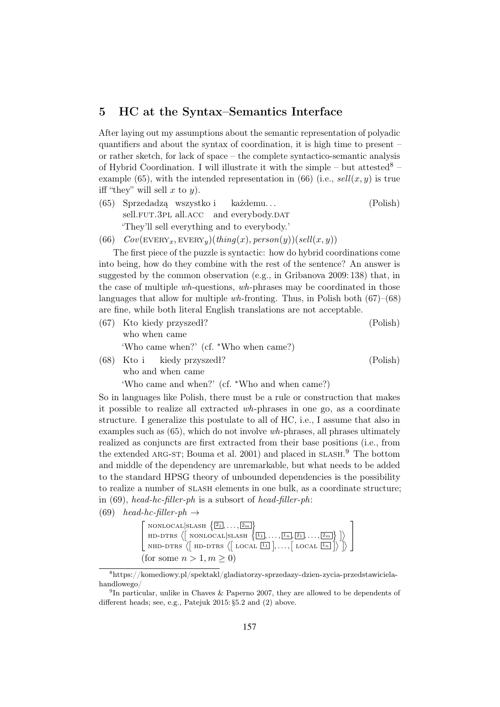#### 5 HC at the Syntax–Semantics Interface

After laying out my assumptions about the semantic representation of polyadic quantifiers and about the syntax of coordination, it is high time to present – or rather sketch, for lack of space – the complete syntactico-semantic analysis of Hybrid Coordination. I will illustrate it with the simple – but attested  $8$  – example (65), with the intended representation in (66) (i.e.,  $\text{sell}(x, y)$  is true iff "they" will sell  $x$  to  $y$ ).

- (65) Sprzedadzą wszystko i sell.FUT.3PL all.ACC and everybody.DAT każdemu. . . (Polish) 'They'll sell everything and to everybody.'
- (66)  $Cov(\text{EVERY}_x, \text{EVERY}_y)(thing(x), person(y))(sell(x, y))$

The first piece of the puzzle is syntactic: how do hybrid coordinations come into being, how do they combine with the rest of the sentence? An answer is suggested by the common observation (e.g., in Gribanova 2009: 138) that, in the case of multiple wh-questions, wh-phrases may be coordinated in those languages that allow for multiple wh-fronting. Thus, in Polish both  $(67)$ – $(68)$ are fine, while both literal English translations are not acceptable.

- (67) Kto kiedy przyszedł? who when came (Polish) 'Who came when?' (cf. ∗Who when came?) (Polish)
- (68) Kto i who and when came kiedy przyszedł? 'Who came and when?' (cf. ∗Who and when came?)

So in languages like Polish, there must be a rule or construction that makes it possible to realize all extracted wh-phrases in one go, as a coordinate structure. I generalize this postulate to all of HC, i.e., I assume that also in examples such as (65), which do not involve wh-phrases, all phrases ultimately realized as conjuncts are first extracted from their base positions (i.e., from the extended ARG-ST; Bouma et al. 2001) and placed in SLASH.<sup>9</sup> The bottom and middle of the dependency are unremarkable, but what needs to be added to the standard HPSG theory of unbounded dependencies is the possibility to realize a number of slash elements in one bulk, as a coordinate structure; in (69), head-hc-filler-ph is a subsort of head-filler-ph:

(69) head-hc-filler-ph  $\rightarrow$ 

$$
\begin{bmatrix}\n\text{nonlocal}|\text{signal} \{\boxed{21}, \dots, \boxed{2m}\} \\
\text{hd-dits} \{\text{nonlocal}|\text{signal} \{\boxed{11}, \dots, \boxed{1n}, \boxed{21}, \dots, \boxed{2m}\}\} \\
\text{NHD-DTRS} \{\text{mod} \{\text{no-dits} \{\text{local} \{\boxed{11}}\}, \dots, \text{local} \{\boxed{1n}\}\}\}\n\end{bmatrix}
$$
\n
$$
\text{(for some } n > 1, m \geq 0)
$$

<sup>8</sup>https://komediowy.pl/spektakl/gladiatorzy-sprzedazy-dzien-zycia-przedstawicielahandlowego/

<sup>&</sup>lt;sup>9</sup>In particular, unlike in Chaves & Paperno 2007, they are allowed to be dependents of different heads; see, e.g., Patejuk 2015: §5.2 and (2) above.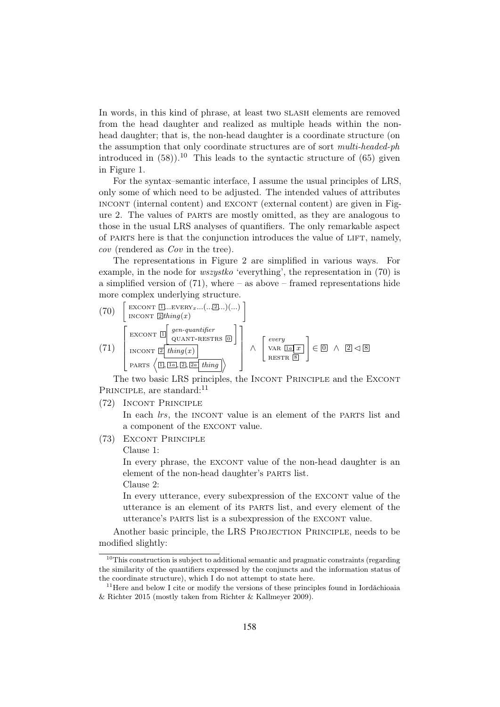In words, in this kind of phrase, at least two slash elements are removed from the head daughter and realized as multiple heads within the nonhead daughter; that is, the non-head daughter is a coordinate structure (on the assumption that only coordinate structures are of sort multi-headed-ph introduced in  $(58)$ .<sup>10</sup> This leads to the syntactic structure of  $(65)$  given in Figure 1.

For the syntax–semantic interface, I assume the usual principles of LRS, only some of which need to be adjusted. The intended values of attributes incont (internal content) and excont (external content) are given in Figure 2. The values of parts are mostly omitted, as they are analogous to those in the usual LRS analyses of quantifiers. The only remarkable aspect of parts here is that the conjunction introduces the value of lift, namely, cov (rendered as Cov in the tree).

The representations in Figure 2 are simplified in various ways. For example, in the node for wszystko 'everything', the representation in (70) is a simplified version of  $(71)$ , where – as above – framed representations hide more complex underlying structure.

(70) 
$$
\begin{bmatrix} \text{EXCONT} \quad \text{[]...EVERY}_{x} \dots (\dots \text{[]...}) \\ \text{INCONT} \quad \text{[]} \end{bmatrix}
$$
  
\n(71) 
$$
\begin{bmatrix} \text{EXCONT} \quad \text{[]} \quad \text{gen-quantifier} \\ \text{EXCONT} \quad \text{[]} \quad \text{QUANT-RESTRS} \quad \text{[]} \\ \text{INCONT} \quad \text{[]} \quad \text{tiling}(x) \end{bmatrix} \wedge \begin{bmatrix} every \\ \text{VAR} \quad \text{Ia} \quad x \end{bmatrix} \in \text{[]} \wedge \text{[]} \lhd \text{S}
$$

The two basic LRS principles, the INCONT PRINCIPLE and the EXCONT PRINCIPLE, are standard:<sup>11</sup>

(72) Incont Principle

In each *lrs*, the INCONT value is an element of the PARTS list and a component of the EXCONT value.

(73) Excont Principle

Clause 1:

In every phrase, the EXCONT value of the non-head daughter is an element of the non-head daughter's parts list. Clause 2:

In every utterance, every subexpression of the EXCONT value of the utterance is an element of its parts list, and every element of the utterance's PARTS list is a subexpression of the EXCONT value.

Another basic principle, the LRS PROJECTION PRINCIPLE, needs to be modified slightly:

 $10$ This construction is subject to additional semantic and pragmatic constraints (regarding the similarity of the quantifiers expressed by the conjuncts and the information status of the coordinate structure), which I do not attempt to state here.

 $11$ Here and below I cite or modify the versions of these principles found in Iordăchioaia & Richter 2015 (mostly taken from Richter & Kallmeyer 2009).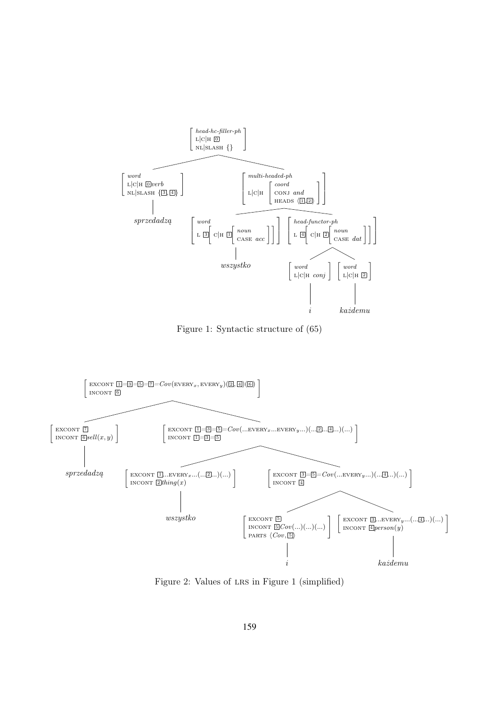

Figure 1: Syntactic structure of (65)



Figure 2: Values of LRS in Figure 1 (simplified)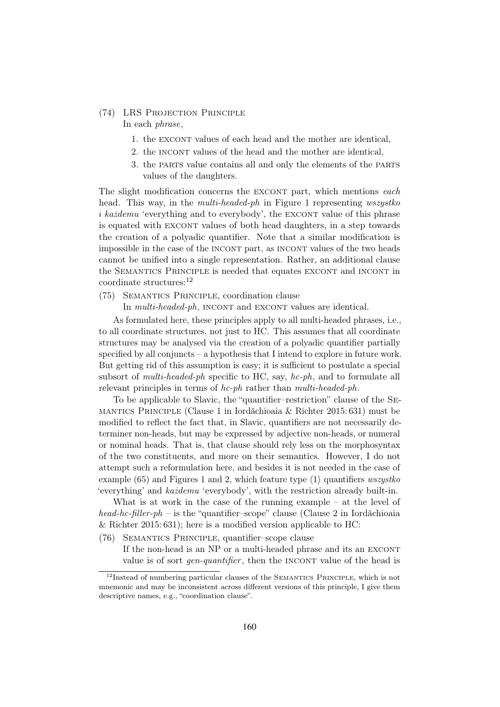#### (74) LRS Projection Principle In each phrase,

- 1. the EXCONT values of each head and the mother are identical,
- 2. the INCONT values of the head and the mother are identical,
- 3. the parts value contains all and only the elements of the parts values of the daughters.

The slight modification concerns the EXCONT part, which mentions each head. This way, in the *multi-headed-ph* in Figure 1 representing *wszystko*  $i$  każdemu 'everything and to everybody', the EXCONT value of this phrase is equated with EXCONT values of both head daughters, in a step towards the creation of a polyadic quantifier. Note that a similar modification is impossible in the case of the INCONT part, as INCONT values of the two heads cannot be unified into a single representation. Rather, an additional clause the SEMANTICS PRINCIPLE is needed that equates EXCONT and INCONT in coordinate structures:<sup>12</sup>

(75) Semantics Principle, coordination clause

In *multi-headed-ph*, INCONT and EXCONT values are identical.

As formulated here, these principles apply to all multi-headed phrases, i.e., to all coordinate structures, not just to HC. This assumes that all coordinate structures may be analysed via the creation of a polyadic quantifier partially specified by all conjuncts – a hypothesis that I intend to explore in future work. But getting rid of this assumption is easy; it is sufficient to postulate a special subsort of *multi-headed-ph* specific to HC, say, *hc-ph*, and to formulate all relevant principles in terms of hc-ph rather than multi-headed-ph.

To be applicable to Slavic, the "quantifier–restriction" clause of the Semantics Principle (Clause 1 in Iordăchioaia & Richter 2015: 631) must be modified to reflect the fact that, in Slavic, quantifiers are not necessarily determiner non-heads, but may be expressed by adjective non-heads, or numeral or nominal heads. That is, that clause should rely less on the morphosyntax of the two constituents, and more on their semantics. However, I do not attempt such a reformulation here, and besides it is not needed in the case of example (65) and Figures 1 and 2, which feature type  $\langle 1 \rangle$  quantifiers *wszystko* 'everything' and każdemu 'everybody', with the restriction already built-in.

What is at work in the case of the running example – at the level of head-hc-filler-ph – is the "quantifier–scope" clause (Clause 2 in Iordăchioaia & Richter 2015: 631); here is a modified version applicable to HC:

(76) Semantics Principle, quantifier–scope clause

If the non-head is an NP or a multi-headed phrase and its an EXCONT value is of sort *gen-quantifier*, then the INCONT value of the head is

 $12$ Instead of numbering particular clauses of the SEMANTICS PRINCIPLE, which is not mnemonic and may be inconsistent across different versions of this principle, I give them descriptive names, e.g., "coordination clause".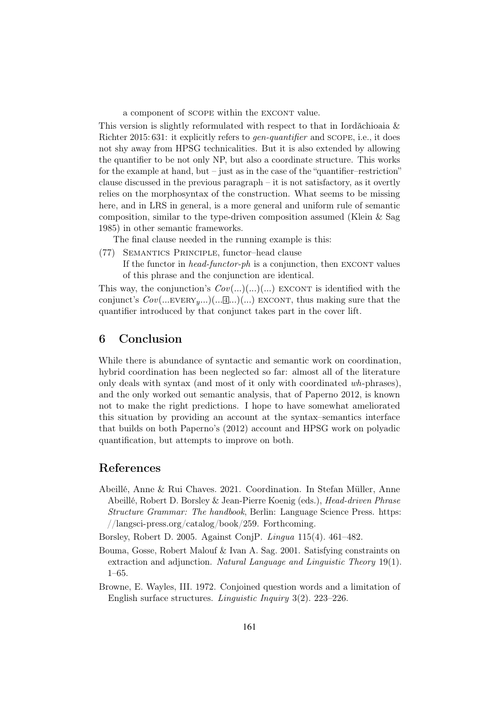a component of scope within the EXCONT value.

This version is slightly reformulated with respect to that in Iordǎchioaia  $\&$ Richter 2015: 631: it explicitly refers to *gen-quantifier* and SCOPE, i.e., it does not shy away from HPSG technicalities. But it is also extended by allowing the quantifier to be not only NP, but also a coordinate structure. This works for the example at hand, but – just as in the case of the "quantifier-restriction" clause discussed in the previous paragraph – it is not satisfactory, as it overtly relies on the morphosyntax of the construction. What seems to be missing here, and in LRS in general, is a more general and uniform rule of semantic composition, similar to the type-driven composition assumed (Klein  $&$  Sag 1985) in other semantic frameworks.

The final clause needed in the running example is this:

(77) Semantics Principle, functor–head clause

If the functor in *head-functor-ph* is a conjunction, then EXCONT values of this phrase and the conjunction are identical.

This way, the conjunction's  $Cov(...)(...)(...)$  EXCONT is identified with the conjunct's  $Cov(... \text{EVERY}_{y}...)(... \mathbb{1}...)(...)$  EXCONT, thus making sure that the quantifier introduced by that conjunct takes part in the cover lift.

#### 6 Conclusion

While there is abundance of syntactic and semantic work on coordination, hybrid coordination has been neglected so far: almost all of the literature only deals with syntax (and most of it only with coordinated wh-phrases), and the only worked out semantic analysis, that of Paperno 2012, is known not to make the right predictions. I hope to have somewhat ameliorated this situation by providing an account at the syntax–semantics interface that builds on both Paperno's (2012) account and HPSG work on polyadic quantification, but attempts to improve on both.

#### References

Abeillé, Anne & Rui Chaves. 2021. Coordination. In Stefan Müller, Anne Abeillé, Robert D. Borsley & Jean-Pierre Koenig (eds.), Head-driven Phrase Structure Grammar: The handbook, Berlin: Language Science Press. https: //langsci-press.org/catalog/book/259. Forthcoming.

Borsley, Robert D. 2005. Against ConjP. Lingua 115(4). 461–482.

- Bouma, Gosse, Robert Malouf & Ivan A. Sag. 2001. Satisfying constraints on extraction and adjunction. Natural Language and Linguistic Theory 19(1). 1–65.
- Browne, E. Wayles, III. 1972. Conjoined question words and a limitation of English surface structures. Linguistic Inquiry 3(2). 223–226.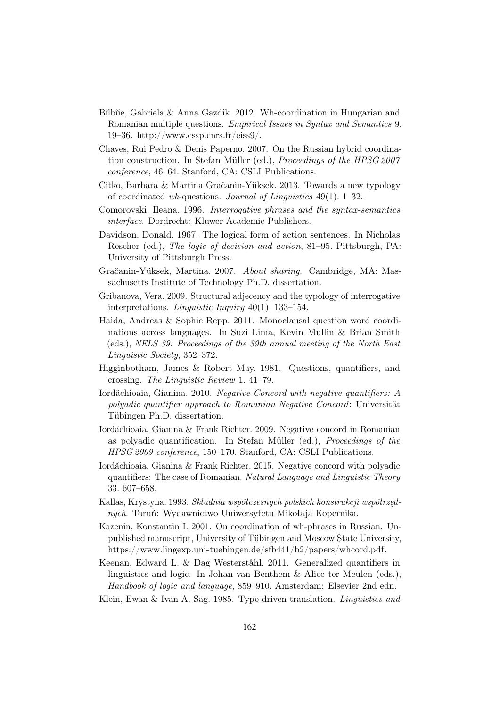- Bîlbîie, Gabriela & Anna Gazdik. 2012. Wh-coordination in Hungarian and Romanian multiple questions. Empirical Issues in Syntax and Semantics 9. 19–36. http://www.cssp.cnrs.fr/eiss $9/$ .
- Chaves, Rui Pedro & Denis Paperno. 2007. On the Russian hybrid coordination construction. In Stefan Müller (ed.), Proceedings of the HPSG 2007 conference, 46–64. Stanford, CA: CSLI Publications.
- Citko, Barbara & Martina Gračanin-Yüksek. 2013. Towards a new typology of coordinated wh-questions. Journal of Linguistics  $49(1)$ . 1–32.
- Comorovski, Ileana. 1996. Interrogative phrases and the syntax-semantics interface. Dordrecht: Kluwer Academic Publishers.
- Davidson, Donald. 1967. The logical form of action sentences. In Nicholas Rescher (ed.), The logic of decision and action, 81–95. Pittsburgh, PA: University of Pittsburgh Press.
- Gračanin-Yüksek, Martina. 2007. About sharing. Cambridge, MA: Massachusetts Institute of Technology Ph.D. dissertation.
- Gribanova, Vera. 2009. Structural adjecency and the typology of interrogative interpretations. Linguistic Inquiry 40(1). 133–154.
- Haida, Andreas & Sophie Repp. 2011. Monoclausal question word coordinations across languages. In Suzi Lima, Kevin Mullin & Brian Smith (eds.), NELS 39: Proceedings of the 39th annual meeting of the North East Linguistic Society, 352–372.
- Higginbotham, James & Robert May. 1981. Questions, quantifiers, and crossing. The Linguistic Review 1. 41–79.
- Iordăchioaia, Gianina. 2010. Negative Concord with negative quantifiers: A polyadic quantifier approach to Romanian Negative Concord: Universität Tübingen Ph.D. dissertation.
- Iordǎchioaia, Gianina & Frank Richter. 2009. Negative concord in Romanian as polyadic quantification. In Stefan Müller (ed.), Proceedings of the HPSG 2009 conference, 150–170. Stanford, CA: CSLI Publications.
- Iordǎchioaia, Gianina & Frank Richter. 2015. Negative concord with polyadic quantifiers: The case of Romanian. Natural Language and Linguistic Theory 33. 607–658.
- Kallas, Krystyna. 1993. Składnia współczesnych polskich konstrukcji współrzędnych. Toruń: Wydawnictwo Uniwersytetu Mikołaja Kopernika.
- Kazenin, Konstantin I. 2001. On coordination of wh-phrases in Russian. Unpublished manuscript, University of Tübingen and Moscow State University, https://www.lingexp.uni-tuebingen.de/sfb441/b2/papers/whcord.pdf.
- Keenan, Edward L. & Dag Westerståhl. 2011. Generalized quantifiers in linguistics and logic. In Johan van Benthem & Alice ter Meulen (eds.), Handbook of logic and language, 859–910. Amsterdam: Elsevier 2nd edn.
- Klein, Ewan & Ivan A. Sag. 1985. Type-driven translation. Linguistics and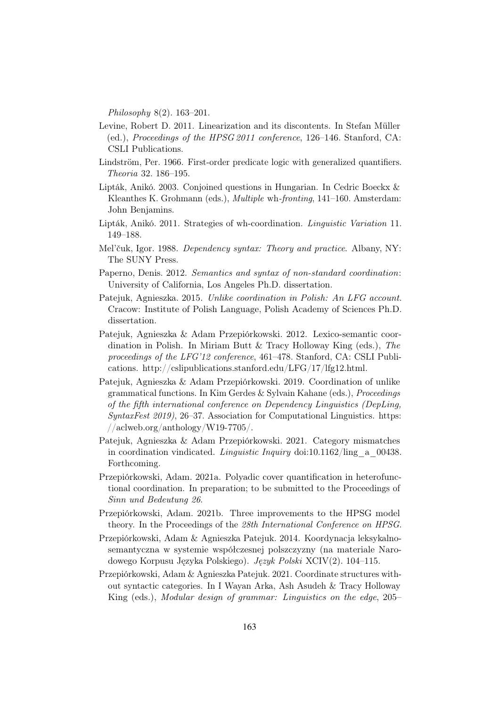Philosophy 8(2). 163–201.

- Levine, Robert D. 2011. Linearization and its discontents. In Stefan Müller (ed.), Proceedings of the HPSG 2011 conference, 126–146. Stanford, CA: CSLI Publications.
- Lindström, Per. 1966. First-order predicate logic with generalized quantifiers. Theoria 32. 186–195.
- Lipták, Anikó. 2003. Conjoined questions in Hungarian. In Cedric Boeckx & Kleanthes K. Grohmann (eds.), Multiple wh-fronting, 141–160. Amsterdam: John Benjamins.
- Lipták, Anikó. 2011. Strategies of wh-coordination. Linguistic Variation 11. 149–188.
- Mel'čuk, Igor. 1988. Dependency syntax: Theory and practice. Albany, NY: The SUNY Press.
- Paperno, Denis. 2012. Semantics and syntax of non-standard coordination: University of California, Los Angeles Ph.D. dissertation.
- Patejuk, Agnieszka. 2015. Unlike coordination in Polish: An LFG account. Cracow: Institute of Polish Language, Polish Academy of Sciences Ph.D. dissertation.
- Patejuk, Agnieszka & Adam Przepiórkowski. 2012. Lexico-semantic coordination in Polish. In Miriam Butt & Tracy Holloway King (eds.), The proceedings of the LFG'12 conference, 461–478. Stanford, CA: CSLI Publications. http://cslipublications.stanford.edu/LFG/17/lfg12.html.
- Patejuk, Agnieszka & Adam Przepiórkowski. 2019. Coordination of unlike grammatical functions. In Kim Gerdes & Sylvain Kahane (eds.), Proceedings of the fifth international conference on Dependency Linguistics (DepLing, SyntaxFest 2019), 26–37. Association for Computational Linguistics. https:  $//\allowbreak \text{ackweb.org/anthology/W19-7705/}.$
- Patejuk, Agnieszka & Adam Przepiórkowski. 2021. Category mismatches in coordination vindicated. *Linguistic Inquiry* doi:10.1162/ling a 00438. Forthcoming.
- Przepiórkowski, Adam. 2021a. Polyadic cover quantification in heterofunctional coordination. In preparation; to be submitted to the Proceedings of Sinn und Bedeutung 26.
- Przepiórkowski, Adam. 2021b. Three improvements to the HPSG model theory. In the Proceedings of the 28th International Conference on HPSG.
- Przepiórkowski, Adam & Agnieszka Patejuk. 2014. Koordynacja leksykalnosemantyczna w systemie współczesnej polszczyzny (na materiale Narodowego Korpusu Języka Polskiego). Język Polski XCIV(2). 104–115.
- Przepiórkowski, Adam & Agnieszka Patejuk. 2021. Coordinate structures without syntactic categories. In I Wayan Arka, Ash Asudeh & Tracy Holloway King (eds.), Modular design of grammar: Linguistics on the edge, 205–